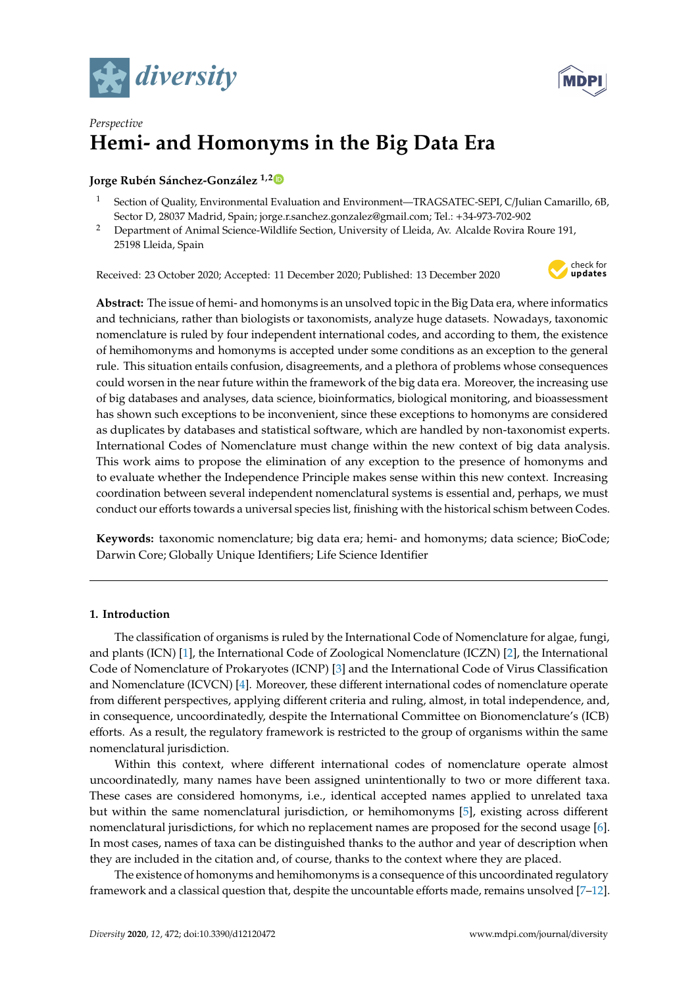



# *Perspective* **Hemi- and Homonyms in the Big Data Era**

# **Jorge Rubén Sánchez-González 1,[2](https://orcid.org/0000-0002-6170-7523)**

- <sup>1</sup> Section of Quality, Environmental Evaluation and Environment—TRAGSATEC-SEPI, C/Julian Camarillo, 6B, Sector D, 28037 Madrid, Spain; jorge.r.sanchez.gonzalez@gmail.com; Tel.: +34-973-702-902
- <sup>2</sup> Department of Animal Science-Wildlife Section, University of Lleida, Av. Alcalde Rovira Roure 191, 25198 Lleida, Spain

Received: 23 October 2020; Accepted: 11 December 2020; Published: 13 December 2020



**Abstract:** The issue of hemi- and homonyms is an unsolved topic in the Big Data era, where informatics and technicians, rather than biologists or taxonomists, analyze huge datasets. Nowadays, taxonomic nomenclature is ruled by four independent international codes, and according to them, the existence of hemihomonyms and homonyms is accepted under some conditions as an exception to the general rule. This situation entails confusion, disagreements, and a plethora of problems whose consequences could worsen in the near future within the framework of the big data era. Moreover, the increasing use of big databases and analyses, data science, bioinformatics, biological monitoring, and bioassessment has shown such exceptions to be inconvenient, since these exceptions to homonyms are considered as duplicates by databases and statistical software, which are handled by non-taxonomist experts. International Codes of Nomenclature must change within the new context of big data analysis. This work aims to propose the elimination of any exception to the presence of homonyms and to evaluate whether the Independence Principle makes sense within this new context. Increasing coordination between several independent nomenclatural systems is essential and, perhaps, we must conduct our efforts towards a universal species list, finishing with the historical schism between Codes.

**Keywords:** taxonomic nomenclature; big data era; hemi- and homonyms; data science; BioCode; Darwin Core; Globally Unique Identifiers; Life Science Identifier

# **1. Introduction**

The classification of organisms is ruled by the International Code of Nomenclature for algae, fungi, and plants (ICN) [\[1\]](#page-5-0), the International Code of Zoological Nomenclature (ICZN) [\[2\]](#page-5-1), the International Code of Nomenclature of Prokaryotes (ICNP) [\[3\]](#page-5-2) and the International Code of Virus Classification and Nomenclature (ICVCN) [\[4\]](#page-5-3). Moreover, these different international codes of nomenclature operate from different perspectives, applying different criteria and ruling, almost, in total independence, and, in consequence, uncoordinatedly, despite the International Committee on Bionomenclature's (ICB) efforts. As a result, the regulatory framework is restricted to the group of organisms within the same nomenclatural jurisdiction.

Within this context, where different international codes of nomenclature operate almost uncoordinatedly, many names have been assigned unintentionally to two or more different taxa. These cases are considered homonyms, i.e., identical accepted names applied to unrelated taxa but within the same nomenclatural jurisdiction, or hemihomonyms [\[5\]](#page-5-4), existing across different nomenclatural jurisdictions, for which no replacement names are proposed for the second usage [\[6\]](#page-5-5). In most cases, names of taxa can be distinguished thanks to the author and year of description when they are included in the citation and, of course, thanks to the context where they are placed.

The existence of homonyms and hemihomonyms is a consequence of this uncoordinated regulatory framework and a classical question that, despite the uncountable efforts made, remains unsolved [\[7–](#page-5-6)[12\]](#page-5-7).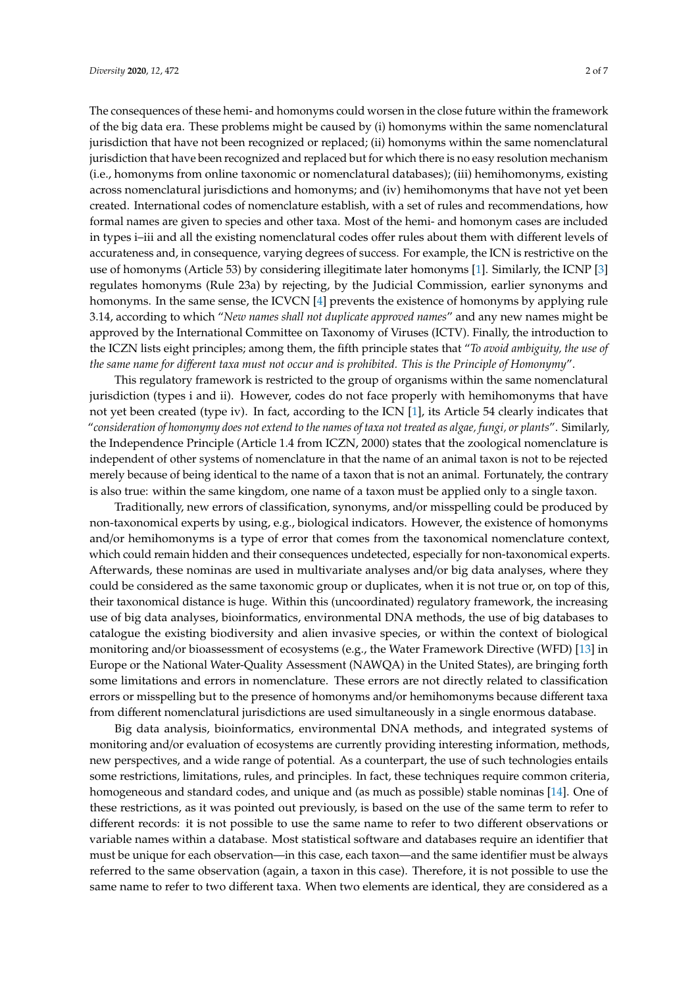The consequences of these hemi- and homonyms could worsen in the close future within the framework of the big data era. These problems might be caused by (i) homonyms within the same nomenclatural jurisdiction that have not been recognized or replaced; (ii) homonyms within the same nomenclatural jurisdiction that have been recognized and replaced but for which there is no easy resolution mechanism (i.e., homonyms from online taxonomic or nomenclatural databases); (iii) hemihomonyms, existing across nomenclatural jurisdictions and homonyms; and (iv) hemihomonyms that have not yet been created. International codes of nomenclature establish, with a set of rules and recommendations, how formal names are given to species and other taxa. Most of the hemi- and homonym cases are included in types i–iii and all the existing nomenclatural codes offer rules about them with different levels of accurateness and, in consequence, varying degrees of success. For example, the ICN is restrictive on the use of homonyms (Article 53) by considering illegitimate later homonyms [\[1\]](#page-5-0). Similarly, the ICNP [\[3\]](#page-5-2) regulates homonyms (Rule 23a) by rejecting, by the Judicial Commission, earlier synonyms and homonyms. In the same sense, the ICVCN [\[4\]](#page-5-3) prevents the existence of homonyms by applying rule 3.14, according to which "*New names shall not duplicate approved names*" and any new names might be approved by the International Committee on Taxonomy of Viruses (ICTV). Finally, the introduction to the ICZN lists eight principles; among them, the fifth principle states that "*To avoid ambiguity, the use of the same name for di*ff*erent taxa must not occur and is prohibited. This is the Principle of Homonymy*".

This regulatory framework is restricted to the group of organisms within the same nomenclatural jurisdiction (types i and ii). However, codes do not face properly with hemihomonyms that have not yet been created (type iv). In fact, according to the ICN [\[1\]](#page-5-0), its Article 54 clearly indicates that "*consideration of homonymy does not extend to the names of taxa not treated as algae, fungi, or plants*". Similarly, the Independence Principle (Article 1.4 from ICZN, 2000) states that the zoological nomenclature is independent of other systems of nomenclature in that the name of an animal taxon is not to be rejected merely because of being identical to the name of a taxon that is not an animal. Fortunately, the contrary is also true: within the same kingdom, one name of a taxon must be applied only to a single taxon.

Traditionally, new errors of classification, synonyms, and/or misspelling could be produced by non-taxonomical experts by using, e.g., biological indicators. However, the existence of homonyms and/or hemihomonyms is a type of error that comes from the taxonomical nomenclature context, which could remain hidden and their consequences undetected, especially for non-taxonomical experts. Afterwards, these nominas are used in multivariate analyses and/or big data analyses, where they could be considered as the same taxonomic group or duplicates, when it is not true or, on top of this, their taxonomical distance is huge. Within this (uncoordinated) regulatory framework, the increasing use of big data analyses, bioinformatics, environmental DNA methods, the use of big databases to catalogue the existing biodiversity and alien invasive species, or within the context of biological monitoring and/or bioassessment of ecosystems (e.g., the Water Framework Directive (WFD) [\[13\]](#page-5-8) in Europe or the National Water-Quality Assessment (NAWQA) in the United States), are bringing forth some limitations and errors in nomenclature. These errors are not directly related to classification errors or misspelling but to the presence of homonyms and/or hemihomonyms because different taxa from different nomenclatural jurisdictions are used simultaneously in a single enormous database.

Big data analysis, bioinformatics, environmental DNA methods, and integrated systems of monitoring and/or evaluation of ecosystems are currently providing interesting information, methods, new perspectives, and a wide range of potential. As a counterpart, the use of such technologies entails some restrictions, limitations, rules, and principles. In fact, these techniques require common criteria, homogeneous and standard codes, and unique and (as much as possible) stable nominas [\[14\]](#page-5-9). One of these restrictions, as it was pointed out previously, is based on the use of the same term to refer to different records: it is not possible to use the same name to refer to two different observations or variable names within a database. Most statistical software and databases require an identifier that must be unique for each observation—in this case, each taxon—and the same identifier must be always referred to the same observation (again, a taxon in this case). Therefore, it is not possible to use the same name to refer to two different taxa. When two elements are identical, they are considered as a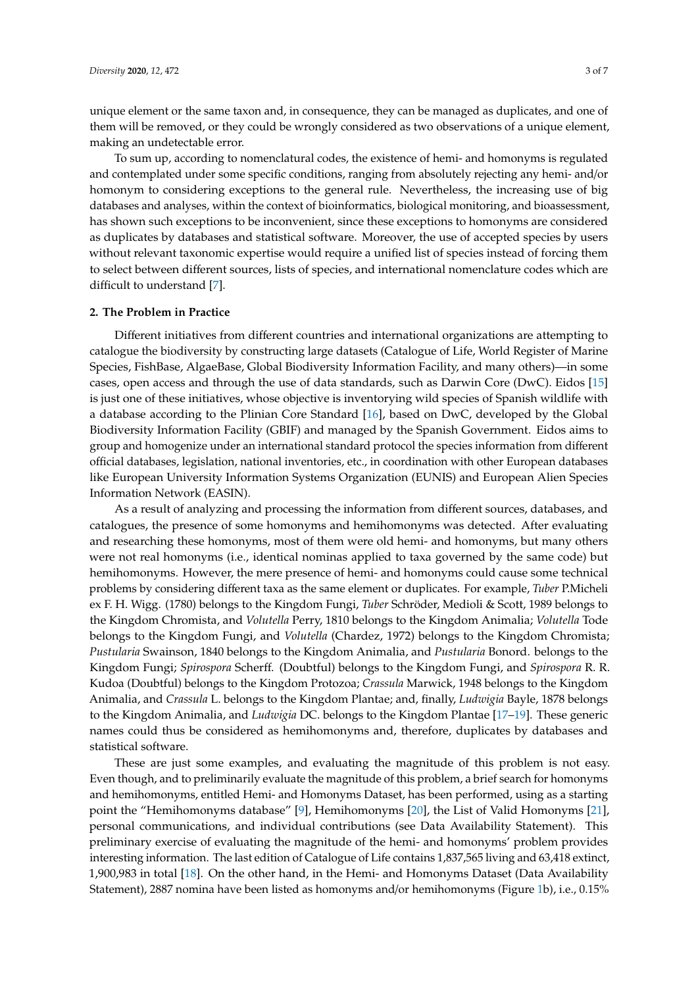unique element or the same taxon and, in consequence, they can be managed as duplicates, and one of them will be removed, or they could be wrongly considered as two observations of a unique element, making an undetectable error.

To sum up, according to nomenclatural codes, the existence of hemi- and homonyms is regulated and contemplated under some specific conditions, ranging from absolutely rejecting any hemi- and/or homonym to considering exceptions to the general rule. Nevertheless, the increasing use of big databases and analyses, within the context of bioinformatics, biological monitoring, and bioassessment, has shown such exceptions to be inconvenient, since these exceptions to homonyms are considered as duplicates by databases and statistical software. Moreover, the use of accepted species by users without relevant taxonomic expertise would require a unified list of species instead of forcing them to select between different sources, lists of species, and international nomenclature codes which are difficult to understand [\[7\]](#page-5-6).

### **2. The Problem in Practice**

Different initiatives from different countries and international organizations are attempting to catalogue the biodiversity by constructing large datasets (Catalogue of Life, World Register of Marine Species, FishBase, AlgaeBase, Global Biodiversity Information Facility, and many others)—in some cases, open access and through the use of data standards, such as Darwin Core (DwC). Eidos [\[15\]](#page-5-10) is just one of these initiatives, whose objective is inventorying wild species of Spanish wildlife with a database according to the Plinian Core Standard [\[16\]](#page-5-11), based on DwC, developed by the Global Biodiversity Information Facility (GBIF) and managed by the Spanish Government. Eidos aims to group and homogenize under an international standard protocol the species information from different official databases, legislation, national inventories, etc., in coordination with other European databases like European University Information Systems Organization (EUNIS) and European Alien Species Information Network (EASIN).

As a result of analyzing and processing the information from different sources, databases, and catalogues, the presence of some homonyms and hemihomonyms was detected. After evaluating and researching these homonyms, most of them were old hemi- and homonyms, but many others were not real homonyms (i.e., identical nominas applied to taxa governed by the same code) but hemihomonyms. However, the mere presence of hemi- and homonyms could cause some technical problems by considering different taxa as the same element or duplicates. For example, *Tuber* P.Micheli ex F. H. Wigg. (1780) belongs to the Kingdom Fungi, *Tuber* Schröder, Medioli & Scott, 1989 belongs to the Kingdom Chromista, and *Volutella* Perry, 1810 belongs to the Kingdom Animalia; *Volutella* Tode belongs to the Kingdom Fungi, and *Volutella* (Chardez, 1972) belongs to the Kingdom Chromista; *Pustularia* Swainson, 1840 belongs to the Kingdom Animalia, and *Pustularia* Bonord. belongs to the Kingdom Fungi; *Spirospora* Scherff. (Doubtful) belongs to the Kingdom Fungi, and *Spirospora* R. R. Kudoa (Doubtful) belongs to the Kingdom Protozoa; *Crassula* Marwick, 1948 belongs to the Kingdom Animalia, and *Crassula* L. belongs to the Kingdom Plantae; and, finally, *Ludwigia* Bayle, 1878 belongs to the Kingdom Animalia, and *Ludwigia* DC. belongs to the Kingdom Plantae [\[17–](#page-5-12)[19\]](#page-5-13). These generic names could thus be considered as hemihomonyms and, therefore, duplicates by databases and statistical software.

These are just some examples, and evaluating the magnitude of this problem is not easy. Even though, and to preliminarily evaluate the magnitude of this problem, a brief search for homonyms and hemihomonyms, entitled Hemi- and Homonyms Dataset, has been performed, using as a starting point the "Hemihomonyms database" [\[9\]](#page-5-14), Hemihomonyms [\[20\]](#page-6-0), the List of Valid Homonyms [\[21\]](#page-6-1), personal communications, and individual contributions (see Data Availability Statement). This preliminary exercise of evaluating the magnitude of the hemi- and homonyms' problem provides interesting information. The last edition of Catalogue of Life contains 1,837,565 living and 63,418 extinct, 1,900,983 in total [\[18\]](#page-5-15). On the other hand, in the Hemi- and Homonyms Dataset (Data Availability Statement), 2887 nomina have been listed as homonyms and/or hemihomonyms (Figure [1b](#page-3-0)), i.e., 0.15%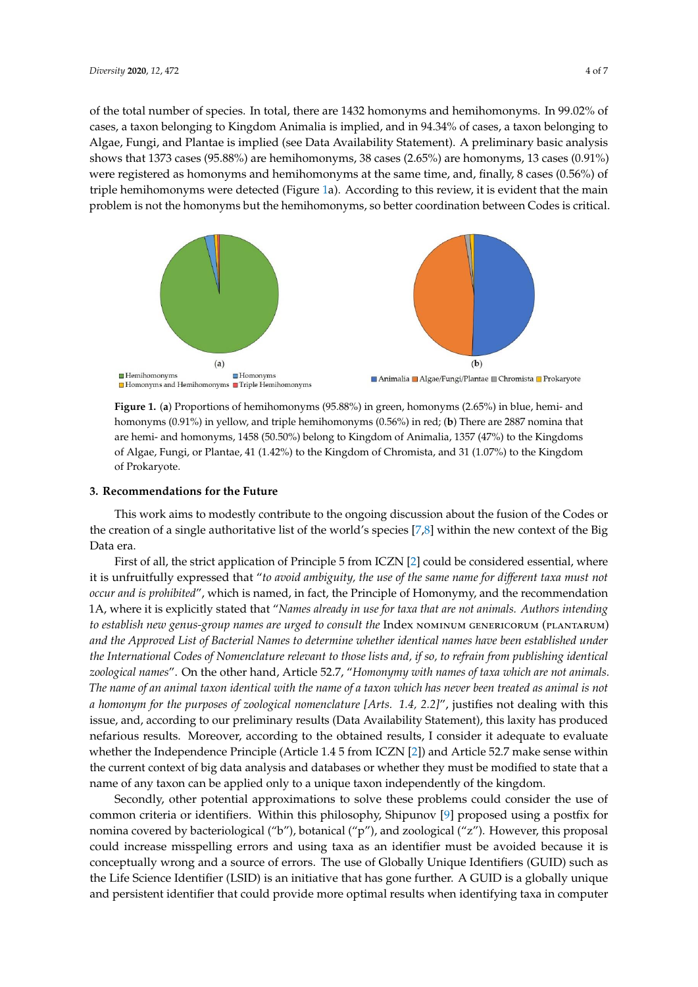of the total number of species. In total, there are 1432 homonyms and hemihomonyms. In 99.02% of cases, a taxon belonging to Kingdom Animalia is implied, and in 94.34% of cases, a taxon belonging to Algae, Fungi, and Plantae is implied (see Data Availability Statement). A preliminary basic analysis shows that 1373 cases (95.88%) are hemihomonyms, 38 cases (2.65%) are homonyms, 13 cases (0.91%) were registered as homonyms and hemihomonyms at the same time, and, finally,  $8$  cases (0.56%) of triple hemihomo[ny](#page-3-0)ms were detected (Figure 1a). According to this review, it is evident that the main problem is not the homonyms but the hemihomonyms, so better coordination between Codes is critical. between Codes is critical.

<span id="page-3-0"></span>

**Figure 1.** (**a**) Proportions of hemihomonyms (95.88%) in green, homonyms (2.65%) in blue, hemi- and **Figure 1.** (**a**) Proportions of hemihomonyms (95.88%) in green, homonyms (2.65%) in blue, hemi- and homonyms (0.91%) in yellow, and triple hemihomonyms (0.56%) in red; (**b**) There are 2887 nomina that are hemi- and homonyms, 1458 (50.50%) belong to Kingdom of Animalia, 1357 (47%) to the Kingdoms of Algae, Fungi, or Plantae, 41 (1.42%) to the Kingdom of Chromista, and 31 (1.07%) to the Kingdom of Prokaryote.

# **3. Recommendations for the Future 3. Recommendations for the Future**

This work aims to modestly contribute to the ongoing discussion about the fusion of the Codes This work aims to modestly contribute to the ongoing discussion about the fusion of the Codes or the creation of a single authoritative list of the world's species [\[7](#page-5-6)[,8\]](#page-5-16) within the new context of the Big Data era.

First of all, the strict application of Principle 5 from ICZN [2] could be considered essential, First of all, the strict application of Principle 5 from ICZN [\[2\]](#page-5-1) could be considered essential, where it is unfruitfully expressed that "to avoid ambiguity, the use of the same name for different taxa must not *not occur and is prohibited*", which is named, in fact, the Principle of Homonymy, and the *occur and is prohibited*", which is named, in fact, the Principle of Homonymy, and the recommendation 1A, where it is explicitly stated that "Names already in use for taxa that are not animals. Authors intending *Authors intending to establish new genus-group names are urged to consult the* Index Nominum *to establish new genus-group names are urged to consult the* Index nominum genericorum (plantarum) and the Approved List of Bacterial Names to determine whether identical names have been established under the International Codes of Nomenclature relevant to those lists and, if so, to refrain from publishing identical zoological names". On the other hand, Article 52.7, "Homonymy with names of taxa which are not animals. The name of an animal taxon identical with the name of a taxon which has never been treated as animal is not a homonym for the purposes of zoological nomenclature [Arts. 1.4, 2.2]", justifies not dealing with this issue, and, according to our preliminary results (Data Availability Statement), this laxity has produced nefarious results. Moreover, according to the obtained results, I consider it adequate to evaluate whether the Independence Principle (Article 1.4 5 from ICZN [\[2\]](#page-5-1)) and Article 52.7 make sense within the current context of big data analysis and databases or whether they must be modified to state that a name of any taxon can be applied only to a unique taxon independently of the kingdom.

Secondly, other potential approximations to solve these problems could consider the use of common criteria or identifiers. Within this philosophy, Shipunov [\[9\]](#page-5-14) proposed using a postfix for nomina covered by bacteriological ("b"), botanical ("p"), and zoological ("z"). However, this proposal could increase misspelling errors and using taxa as an identifier must be avoided because it is conceptually wrong and a source of errors. The use of Globally Unique Identifiers (GUID) such as the Life Science Identifier (LSID) is an initiative that has gone further. A GUID is a globally unique and persistent identifier that could provide more optimal results when identifying taxa in computer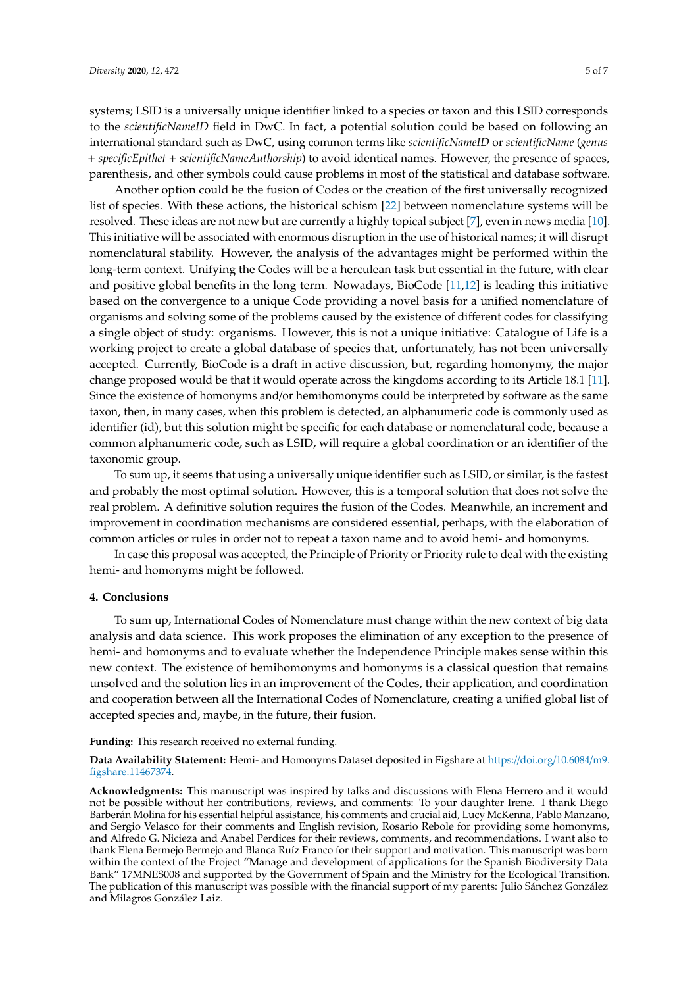systems; LSID is a universally unique identifier linked to a species or taxon and this LSID corresponds to the *scientificNameID* field in DwC. In fact, a potential solution could be based on following an international standard such as DwC, using common terms like *scientificNameID* or *scientificName* (*genus* + *specificEpithet* + *scientificNameAuthorship*) to avoid identical names. However, the presence of spaces, parenthesis, and other symbols could cause problems in most of the statistical and database software.

Another option could be the fusion of Codes or the creation of the first universally recognized list of species. With these actions, the historical schism [\[22\]](#page-6-2) between nomenclature systems will be resolved. These ideas are not new but are currently a highly topical subject [\[7\]](#page-5-6), even in news media [\[10\]](#page-5-17). This initiative will be associated with enormous disruption in the use of historical names; it will disrupt nomenclatural stability. However, the analysis of the advantages might be performed within the long-term context. Unifying the Codes will be a herculean task but essential in the future, with clear and positive global benefits in the long term. Nowadays, BioCode [\[11,](#page-5-18)[12\]](#page-5-7) is leading this initiative based on the convergence to a unique Code providing a novel basis for a unified nomenclature of organisms and solving some of the problems caused by the existence of different codes for classifying a single object of study: organisms. However, this is not a unique initiative: Catalogue of Life is a working project to create a global database of species that, unfortunately, has not been universally accepted. Currently, BioCode is a draft in active discussion, but, regarding homonymy, the major change proposed would be that it would operate across the kingdoms according to its Article 18.1 [\[11\]](#page-5-18). Since the existence of homonyms and/or hemihomonyms could be interpreted by software as the same taxon, then, in many cases, when this problem is detected, an alphanumeric code is commonly used as identifier (id), but this solution might be specific for each database or nomenclatural code, because a common alphanumeric code, such as LSID, will require a global coordination or an identifier of the taxonomic group.

To sum up, it seems that using a universally unique identifier such as LSID, or similar, is the fastest and probably the most optimal solution. However, this is a temporal solution that does not solve the real problem. A definitive solution requires the fusion of the Codes. Meanwhile, an increment and improvement in coordination mechanisms are considered essential, perhaps, with the elaboration of common articles or rules in order not to repeat a taxon name and to avoid hemi- and homonyms.

In case this proposal was accepted, the Principle of Priority or Priority rule to deal with the existing hemi- and homonyms might be followed.

### **4. Conclusions**

To sum up, International Codes of Nomenclature must change within the new context of big data analysis and data science. This work proposes the elimination of any exception to the presence of hemi- and homonyms and to evaluate whether the Independence Principle makes sense within this new context. The existence of hemihomonyms and homonyms is a classical question that remains unsolved and the solution lies in an improvement of the Codes, their application, and coordination and cooperation between all the International Codes of Nomenclature, creating a unified global list of accepted species and, maybe, in the future, their fusion.

#### **Funding:** This research received no external funding.

**Data Availability Statement:** Hemi- and Homonyms Dataset deposited in Figshare at https://doi.org/[10.6084](https://doi.org/10.6084/m9.figshare.11467374)/m9. [figshare.11467374.](https://doi.org/10.6084/m9.figshare.11467374)

**Acknowledgments:** This manuscript was inspired by talks and discussions with Elena Herrero and it would not be possible without her contributions, reviews, and comments: To your daughter Irene. I thank Diego Barberán Molina for his essential helpful assistance, his comments and crucial aid, Lucy McKenna, Pablo Manzano, and Sergio Velasco for their comments and English revision, Rosario Rebole for providing some homonyms, and Alfredo G. Nicieza and Anabel Perdices for their reviews, comments, and recommendations. I want also to thank Elena Bermejo Bermejo and Blanca Ruíz Franco for their support and motivation. This manuscript was born within the context of the Project "Manage and development of applications for the Spanish Biodiversity Data Bank" 17MNES008 and supported by the Government of Spain and the Ministry for the Ecological Transition. The publication of this manuscript was possible with the financial support of my parents: Julio Sánchez González and Milagros González Laiz.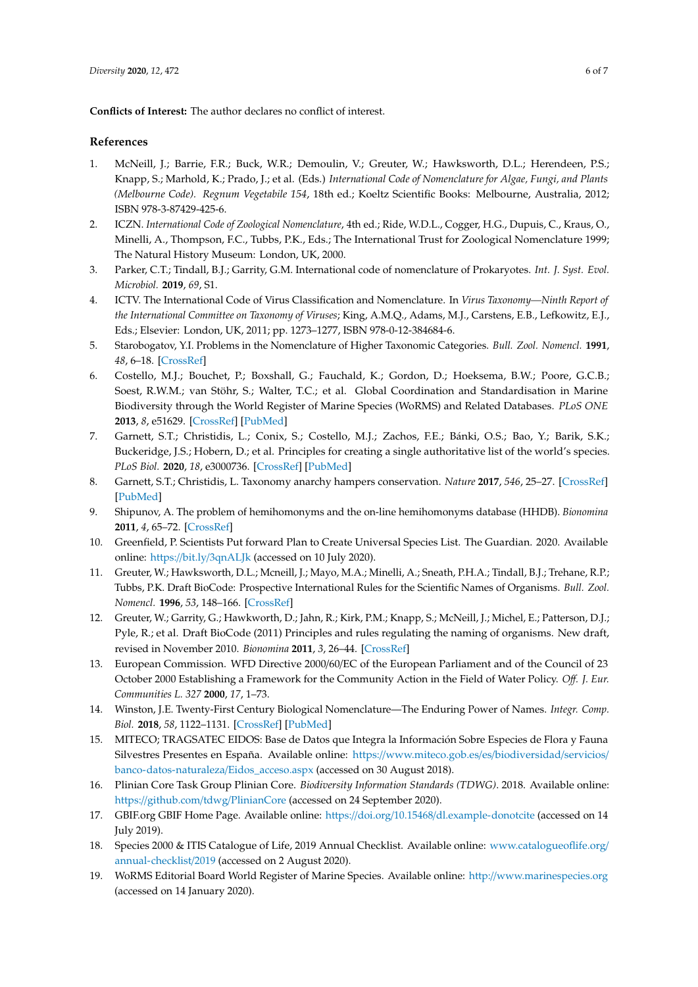**Conflicts of Interest:** The author declares no conflict of interest.

## **References**

- <span id="page-5-0"></span>1. McNeill, J.; Barrie, F.R.; Buck, W.R.; Demoulin, V.; Greuter, W.; Hawksworth, D.L.; Herendeen, P.S.; Knapp, S.; Marhold, K.; Prado, J.; et al. (Eds.) *International Code of Nomenclature for Algae, Fungi, and Plants (Melbourne Code). Regnum Vegetabile 154*, 18th ed.; Koeltz Scientific Books: Melbourne, Australia, 2012; ISBN 978-3-87429-425-6.
- <span id="page-5-1"></span>2. ICZN. *International Code of Zoological Nomenclature*, 4th ed.; Ride, W.D.L., Cogger, H.G., Dupuis, C., Kraus, O., Minelli, A., Thompson, F.C., Tubbs, P.K., Eds.; The International Trust for Zoological Nomenclature 1999; The Natural History Museum: London, UK, 2000.
- <span id="page-5-2"></span>3. Parker, C.T.; Tindall, B.J.; Garrity, G.M. International code of nomenclature of Prokaryotes. *Int. J. Syst. Evol. Microbiol.* **2019**, *69*, S1.
- <span id="page-5-3"></span>4. ICTV. The International Code of Virus Classification and Nomenclature. In *Virus Taxonomy—Ninth Report of the International Committee on Taxonomy of Viruses*; King, A.M.Q., Adams, M.J., Carstens, E.B., Lefkowitz, E.J., Eds.; Elsevier: London, UK, 2011; pp. 1273–1277, ISBN 978-0-12-384684-6.
- <span id="page-5-4"></span>5. Starobogatov, Y.I. Problems in the Nomenclature of Higher Taxonomic Categories. *Bull. Zool. Nomencl.* **1991**, *48*, 6–18. [\[CrossRef\]](http://dx.doi.org/10.5962/bhl.part.663)
- <span id="page-5-5"></span>6. Costello, M.J.; Bouchet, P.; Boxshall, G.; Fauchald, K.; Gordon, D.; Hoeksema, B.W.; Poore, G.C.B.; Soest, R.W.M.; van Stöhr, S.; Walter, T.C.; et al. Global Coordination and Standardisation in Marine Biodiversity through the World Register of Marine Species (WoRMS) and Related Databases. *PLoS ONE* **2013**, *8*, e51629. [\[CrossRef\]](http://dx.doi.org/10.1371/journal.pone.0051629) [\[PubMed\]](http://www.ncbi.nlm.nih.gov/pubmed/23505408)
- <span id="page-5-6"></span>7. Garnett, S.T.; Christidis, L.; Conix, S.; Costello, M.J.; Zachos, F.E.; Bánki, O.S.; Bao, Y.; Barik, S.K.; Buckeridge, J.S.; Hobern, D.; et al. Principles for creating a single authoritative list of the world's species. *PLoS Biol.* **2020**, *18*, e3000736. [\[CrossRef\]](http://dx.doi.org/10.1371/journal.pbio.3000736) [\[PubMed\]](http://www.ncbi.nlm.nih.gov/pubmed/32634138)
- <span id="page-5-16"></span>8. Garnett, S.T.; Christidis, L. Taxonomy anarchy hampers conservation. *Nature* **2017**, *546*, 25–27. [\[CrossRef\]](http://dx.doi.org/10.1038/546025a) [\[PubMed\]](http://www.ncbi.nlm.nih.gov/pubmed/28569833)
- <span id="page-5-14"></span>9. Shipunov, A. The problem of hemihomonyms and the on-line hemihomonyms database (HHDB). *Bionomina* **2011**, *4*, 65–72. [\[CrossRef\]](http://dx.doi.org/10.11646/bionomina.4.1.3)
- <span id="page-5-17"></span>10. Greenfield, P. Scientists Put forward Plan to Create Universal Species List. The Guardian. 2020. Available online: https://bit.ly/[3qnALJk](https://bit.ly/3qnALJk) (accessed on 10 July 2020).
- <span id="page-5-18"></span>11. Greuter, W.; Hawksworth, D.L.; Mcneill, J.; Mayo, M.A.; Minelli, A.; Sneath, P.H.A.; Tindall, B.J.; Trehane, R.P.; Tubbs, P.K. Draft BioCode: Prospective International Rules for the Scientific Names of Organisms. *Bull. Zool. Nomencl.* **1996**, *53*, 148–166. [\[CrossRef\]](http://dx.doi.org/10.5962/bhl.part.14144)
- <span id="page-5-7"></span>12. Greuter, W.; Garrity, G.; Hawkworth, D.; Jahn, R.; Kirk, P.M.; Knapp, S.; McNeill, J.; Michel, E.; Patterson, D.J.; Pyle, R.; et al. Draft BioCode (2011) Principles and rules regulating the naming of organisms. New draft, revised in November 2010. *Bionomina* **2011**, *3*, 26–44. [\[CrossRef\]](http://dx.doi.org/10.11646/bionomina.3.1.3)
- <span id="page-5-8"></span>13. European Commission. WFD Directive 2000/60/EC of the European Parliament and of the Council of 23 October 2000 Establishing a Framework for the Community Action in the Field of Water Policy. *O*ff*. J. Eur. Communities L. 327* **2000**, *17*, 1–73.
- <span id="page-5-9"></span>14. Winston, J.E. Twenty-First Century Biological Nomenclature—The Enduring Power of Names. *Integr. Comp. Biol.* **2018**, *58*, 1122–1131. [\[CrossRef\]](http://dx.doi.org/10.1093/icb/icy060) [\[PubMed\]](http://www.ncbi.nlm.nih.gov/pubmed/30113637)
- <span id="page-5-10"></span>15. MITECO; TRAGSATEC EIDOS: Base de Datos que Integra la Información Sobre Especies de Flora y Fauna Silvestres Presentes en España. Available online: https://[www.miteco.gob.es](https://www.miteco.gob.es/es/biodiversidad/servicios/banco-datos-naturaleza/Eidos_acceso.aspx)/es/biodiversidad/servicios/ [banco-datos-naturaleza](https://www.miteco.gob.es/es/biodiversidad/servicios/banco-datos-naturaleza/Eidos_acceso.aspx)/Eidos\_acceso.aspx (accessed on 30 August 2018).
- <span id="page-5-11"></span>16. Plinian Core Task Group Plinian Core. *Biodiversity Information Standards (TDWG)*. 2018. Available online: https://github.com/tdwg/[PlinianCore](https://github.com/tdwg/PlinianCore) (accessed on 24 September 2020).
- <span id="page-5-12"></span>17. GBIF.org GBIF Home Page. Available online: https://doi.org/10.15468/[dl.example-donotcite](https://doi.org/10.15468/dl.example-donotcite) (accessed on 14 July 2019).
- <span id="page-5-15"></span>18. Species 2000 & ITIS Catalogue of Life, 2019 Annual Checklist. Available online: [www.catalogueoflife.org](www.catalogueoflife.org/annual-checklist/2019)/ [annual-checklist](www.catalogueoflife.org/annual-checklist/2019)/2019 (accessed on 2 August 2020).
- <span id="page-5-13"></span>19. WoRMS Editorial Board World Register of Marine Species. Available online: http://[www.marinespecies.org](http://www.marinespecies.org) (accessed on 14 January 2020).